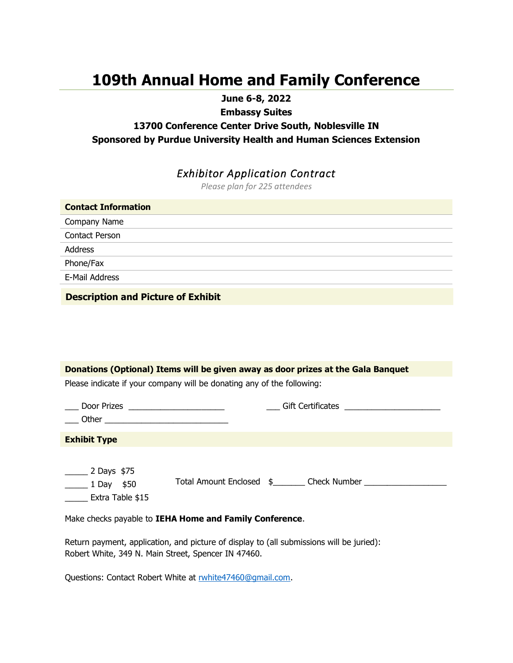# **109th Annual Home and Family Conference**

**June 6-8, 2022**

**Embassy Suites** 

### **13700 Conference Center Drive South, Noblesville IN Sponsored by Purdue University Health and Human Sciences Extension**

## *Exhibitor Application Contract*

*Please plan for 225 attendees*

| <b>Contact Information</b> |  |
|----------------------------|--|
| Company Name               |  |
| Contact Person             |  |
| Address                    |  |
| Phone/Fax                  |  |
| E-Mail Address             |  |
|                            |  |

**Description and Picture of Exhibit**

| Donations (Optional) Items will be given away as door prizes at the Gala Banquet                                                                                                                                      |
|-----------------------------------------------------------------------------------------------------------------------------------------------------------------------------------------------------------------------|
| Please indicate if your company will be donating any of the following:                                                                                                                                                |
| <u>___</u> Door Prizes _____________________                                                                                                                                                                          |
| <b>Exhibit Type</b>                                                                                                                                                                                                   |
| $\frac{1}{2}$ Days \$75<br>Total Amount Enclosed \$________ Check Number ___________________________________<br>$\frac{1}{2}$ Day \$50<br>Extra Table \$15<br>Make checks payable to IEHA Home and Family Conference. |

Return payment, application, and picture of display to (all submissions will be juried): Robert White, 349 N. Main Street, Spencer IN 47460.

Questions: Contact Robert White at [rwhite47460@gmail.com.](mailto:rwhite47460@gmail.com)